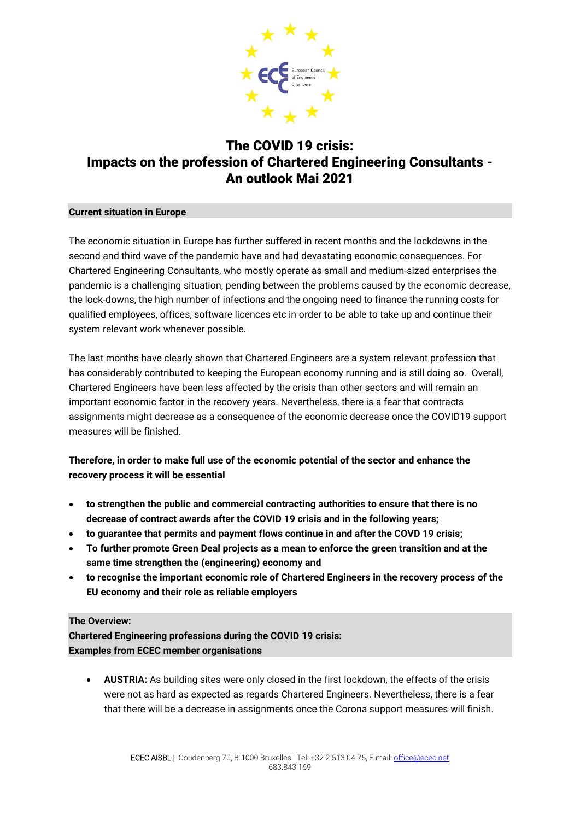

## The COVID 19 crisis: Impacts on the profession of Chartered Engineering Consultants - An outlook Mai 2021

## **Current situation in Europe**

The economic situation in Europe has further suffered in recent months and the lockdowns in the second and third wave of the pandemic have and had devastating economic consequences. For Chartered Engineering Consultants, who mostly operate as small and medium-sized enterprises the pandemic is a challenging situation, pending between the problems caused by the economic decrease, the lock-downs, the high number of infections and the ongoing need to finance the running costs for qualified employees, offices, software licences etc in order to be able to take up and continue their system relevant work whenever possible.

The last months have clearly shown that Chartered Engineers are a system relevant profession that has considerably contributed to keeping the European economy running and is still doing so. Overall, Chartered Engineers have been less affected by the crisis than other sectors and will remain an important economic factor in the recovery years. Nevertheless, there is a fear that contracts assignments might decrease as a consequence of the economic decrease once the COVID19 support measures will be finished.

## **Therefore, in order to make full use of the economic potential of the sector and enhance the recovery process it will be essential**

- **to strengthen the public and commercial contracting authorities to ensure that there is no decrease of contract awards after the COVID 19 crisis and in the following years;**
- **to guarantee that permits and payment flows continue in and after the COVD 19 crisis;**
- **To further promote Green Deal projects as a mean to enforce the green transition and at the same time strengthen the (engineering) economy and**
- **to recognise the important economic role of Chartered Engineers in the recovery process of the EU economy and their role as reliable employers**

## **The Overview:**

**Chartered Engineering professions during the COVID 19 crisis: Examples from ECEC member organisations**

• **AUSTRIA:** As building sites were only closed in the first lockdown, the effects of the crisis were not as hard as expected as regards Chartered Engineers. Nevertheless, there is a fear that there will be a decrease in assignments once the Corona support measures will finish.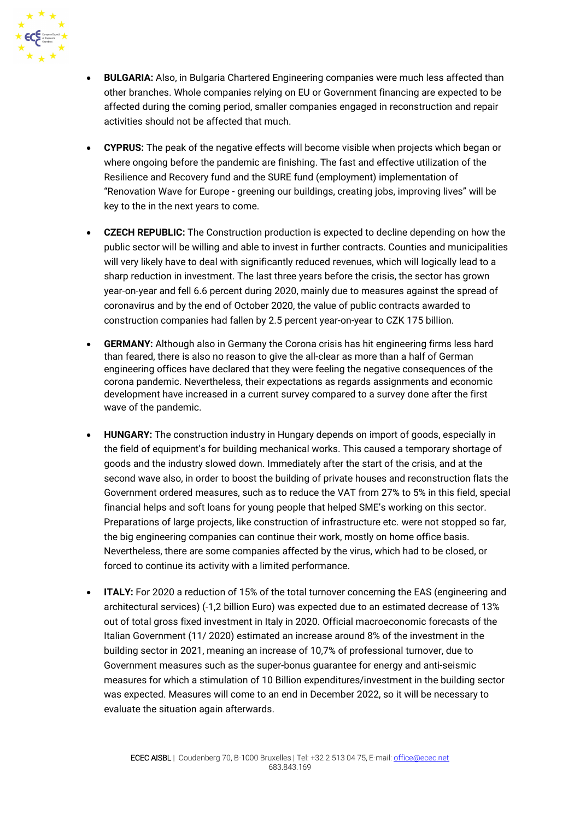

- **BULGARIA:** Also, in Bulgaria Chartered Engineering companies were much less affected than other branches. Whole companies relying on EU or Government financing are expected to be affected during the coming period, smaller companies engaged in reconstruction and repair activities should not be affected that much.
- **CYPRUS:** The peak of the negative effects will become visible when projects which began or where ongoing before the pandemic are finishing. The fast and effective utilization of the Resilience and Recovery fund and the SURE fund (employment) implementation of "Renovation Wave for Europe - greening our buildings, creating jobs, improving lives" will be key to the in the next years to come.
- **CZECH REPUBLIC:** The Construction production is expected to decline depending on how the public sector will be willing and able to invest in further contracts. Counties and municipalities will very likely have to deal with significantly reduced revenues, which will logically lead to a sharp reduction in investment. The last three years before the crisis, the sector has grown year-on-year and fell 6.6 percent during 2020, mainly due to measures against the spread of coronavirus and by the end of October 2020, the value of public contracts awarded to construction companies had fallen by 2.5 percent year-on-year to CZK 175 billion.
- **GERMANY:** Although also in Germany the Corona crisis has hit engineering firms less hard than feared, there is also no reason to give the all-clear as more than a half of German engineering offices have declared that they were feeling the negative consequences of the corona pandemic. Nevertheless, their expectations as regards assignments and economic development have increased in a current survey compared to a survey done after the first wave of the pandemic.
- **HUNGARY:** The construction industry in Hungary depends on import of goods, especially in the field of equipment's for building mechanical works. This caused a temporary shortage of goods and the industry slowed down. Immediately after the start of the crisis, and at the second wave also, in order to boost the building of private houses and reconstruction flats the Government ordered measures, such as to reduce the VAT from 27% to 5% in this field, special financial helps and soft loans for young people that helped SME's working on this sector. Preparations of large projects, like construction of infrastructure etc. were not stopped so far, the big engineering companies can continue their work, mostly on home office basis. Nevertheless, there are some companies affected by the virus, which had to be closed, or forced to continue its activity with a limited performance.
- **ITALY:** For 2020 a reduction of 15% of the total turnover concerning the EAS (engineering and architectural services) (-1,2 billion Euro) was expected due to an estimated decrease of 13% out of total gross fixed investment in Italy in 2020. Official macroeconomic forecasts of the Italian Government (11/ 2020) estimated an increase around 8% of the investment in the building sector in 2021, meaning an increase of 10,7% of professional turnover, due to Government measures such as the super-bonus guarantee for energy and anti-seismic measures for which a stimulation of 10 Billion expenditures/investment in the building sector was expected. Measures will come to an end in December 2022, so it will be necessary to evaluate the situation again afterwards.